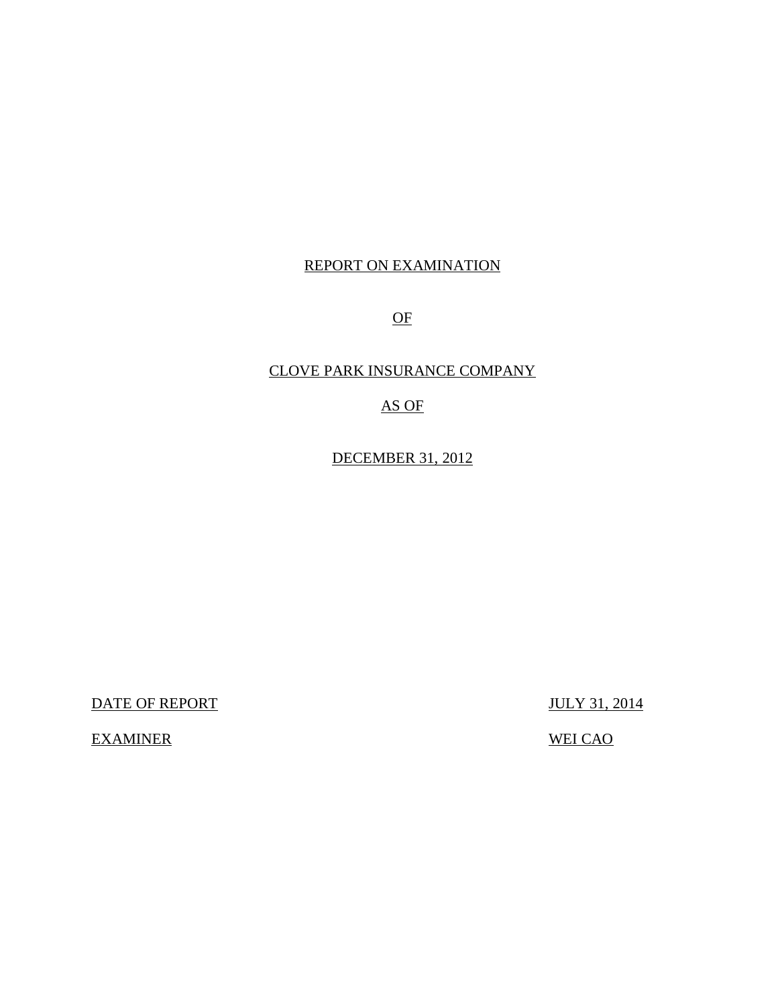## REPORT ON EXAMINATION

OF

## CLOVE PARK INSURANCE COMPANY

## AS OF

DECEMBER 31, 2012

DATE OF REPORT JULY 31, 2014

EXAMINER WEI CAO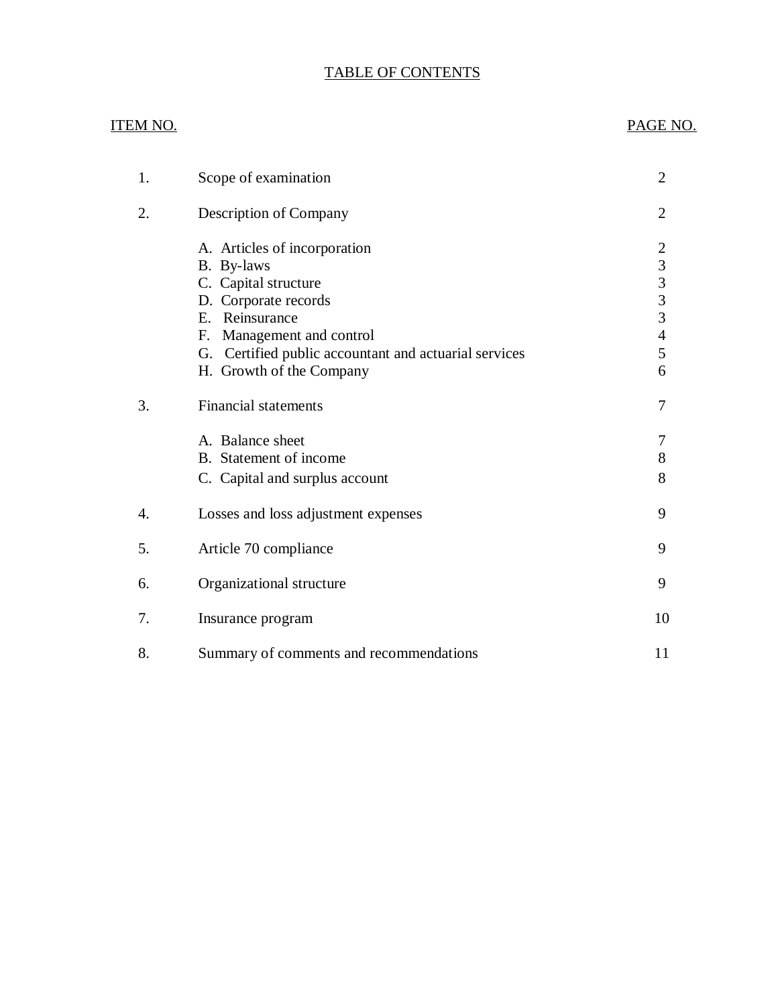## TABLE OF CONTENTS

## ITEM NO. PAGE NO.

| 1. | Scope of examination                                                                                                                                                                                                              | 2                                                                                                 |
|----|-----------------------------------------------------------------------------------------------------------------------------------------------------------------------------------------------------------------------------------|---------------------------------------------------------------------------------------------------|
| 2. | Description of Company                                                                                                                                                                                                            | $\overline{2}$                                                                                    |
|    | A. Articles of incorporation<br>B. By-laws<br>C. Capital structure<br>D. Corporate records<br>E. Reinsurance<br>Management and control<br>F.<br>G. Certified public accountant and actuarial services<br>H. Growth of the Company | $\overline{2}$<br>3<br>$\overline{\mathbf{3}}$<br>$\overline{3}$<br>3<br>$\overline{4}$<br>5<br>6 |
| 3. | <b>Financial statements</b>                                                                                                                                                                                                       | 7                                                                                                 |
|    | A. Balance sheet<br>B. Statement of income<br>C. Capital and surplus account                                                                                                                                                      | 7<br>8<br>8                                                                                       |
| 4. | Losses and loss adjustment expenses                                                                                                                                                                                               | 9                                                                                                 |
| 5. | Article 70 compliance                                                                                                                                                                                                             | 9                                                                                                 |
| 6. | Organizational structure                                                                                                                                                                                                          | 9                                                                                                 |
| 7. | Insurance program                                                                                                                                                                                                                 | 10                                                                                                |
| 8. | Summary of comments and recommendations                                                                                                                                                                                           | 11                                                                                                |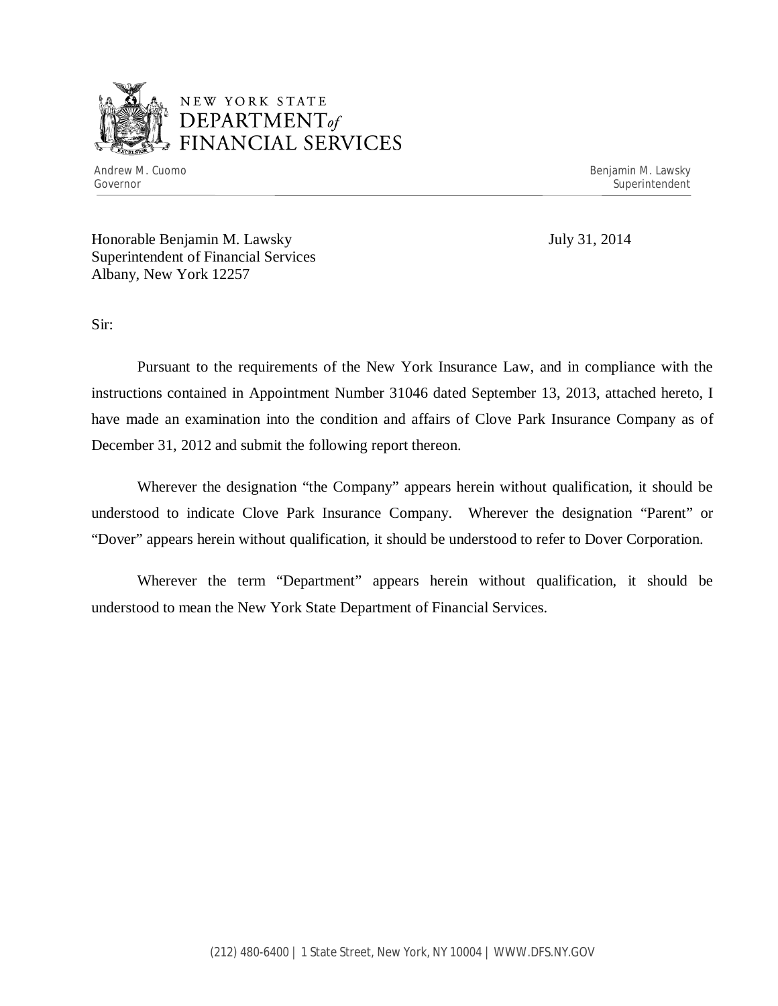

Andrew M. Cuomo **Benjamin M. Lawsky** Governor Superintendent Superintendent Superintendent Superintendent Superintendent Superintendent Superintendent

Honorable Benjamin M. Lawsky July 31, 2014 Superintendent of Financial Services Albany, New York 12257

Sir:

Pursuant to the requirements of the New York Insurance Law, and in compliance with the instructions contained in Appointment Number 31046 dated September 13, 2013, attached hereto, I have made an examination into the condition and affairs of Clove Park Insurance Company as of December 31, 2012 and submit the following report thereon.

Wherever the designation "the Company" appears herein without qualification, it should be understood to indicate Clove Park Insurance Company. Wherever the designation "Parent" or "Dover" appears herein without qualification, it should be understood to refer to Dover Corporation.

Wherever the term "Department" appears herein without qualification, it should be understood to mean the New York State Department of Financial Services.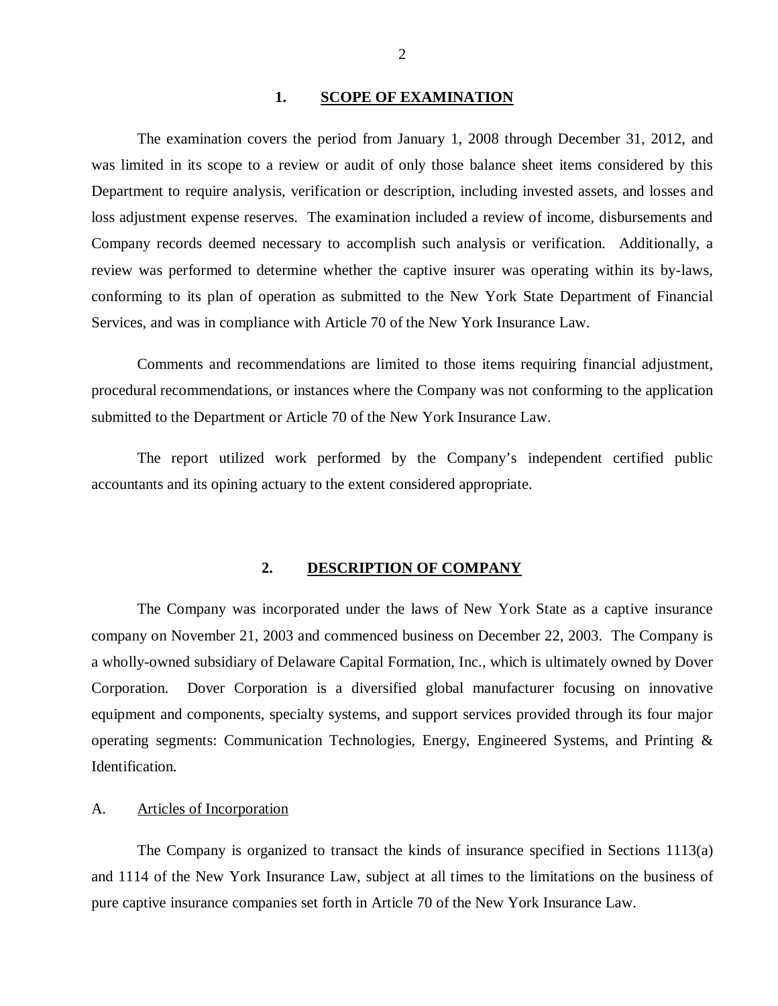#### 1. **SCOPE OF EXAMINATION**

<span id="page-3-0"></span>The examination covers the period from January 1, 2008 through December 31, 2012, and was limited in its scope to a review or audit of only those balance sheet items considered by this Department to require analysis, verification or description, including invested assets, and losses and loss adjustment expense reserves. The examination included a review of income, disbursements and Company records deemed necessary to accomplish such analysis or verification. Additionally, a review was performed to determine whether the captive insurer was operating within its by-laws, conforming to its plan of operation as submitted to the New York State Department of Financial Services, and was in compliance with Article 70 of the New York Insurance Law.

Comments and recommendations are limited to those items requiring financial adjustment, procedural recommendations, or instances where the Company was not conforming to the application submitted to the Department or Article 70 of the New York Insurance Law.

The report utilized work performed by the Company's independent certified public accountants and its opining actuary to the extent considered appropriate.

#### **2. DESCRIPTION OF COMPANY**

The Company was incorporated under the laws of New York State as a captive insurance company on November 21, 2003 and commenced business on December 22, 2003. The Company is a wholly-owned subsidiary of Delaware Capital Formation, Inc., which is ultimately owned by Dover Corporation. Dover Corporation is a diversified global manufacturer focusing on innovative equipment and components, specialty systems, and support services provided through its four major operating segments: Communication Technologies, Energy, Engineered Systems, and Printing & Identification.

#### A. Articles of Incorporation

The Company is organized to transact the kinds of insurance specified in Sections 1113(a) and 1114 of the New York Insurance Law, subject at all times to the limitations on the business of pure captive insurance companies set forth in Article 70 of the New York Insurance Law.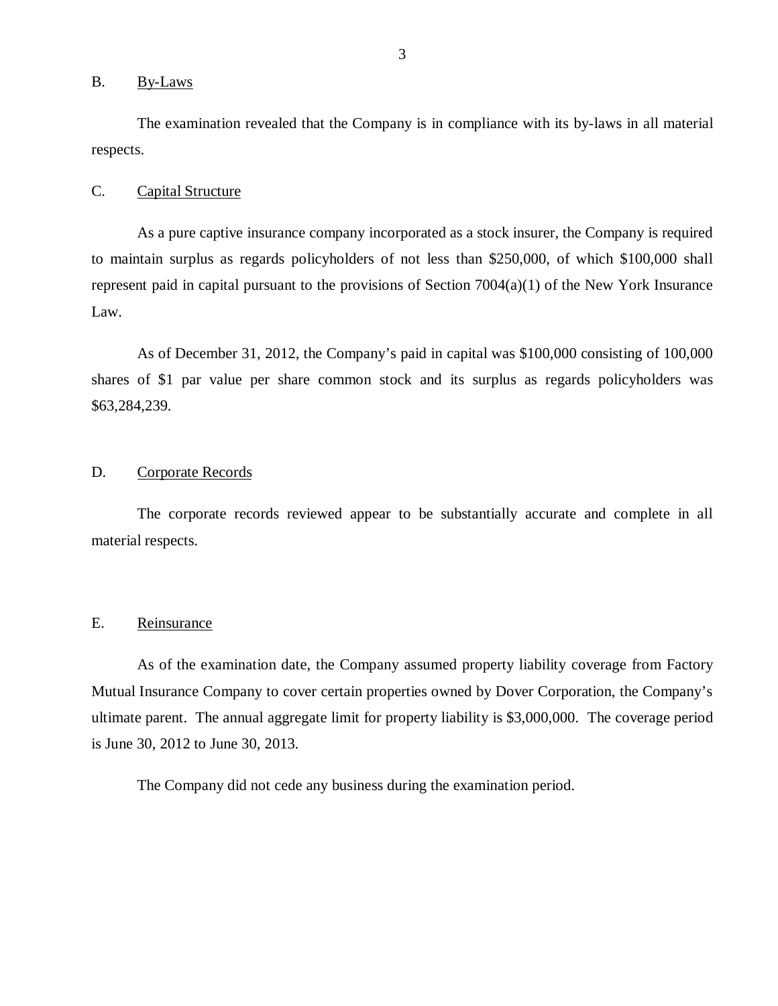#### <span id="page-4-0"></span>B. By-Laws

The examination revealed that the Company is in compliance with its by-laws in all material respects.

#### C. Capital Structure

As a pure captive insurance company incorporated as a stock insurer, the Company is required to maintain surplus as regards policyholders of not less than \$250,000, of which \$100,000 shall represent paid in capital pursuant to the provisions of Section 7004(a)(1) of the New York Insurance Law.

As of December 31, 2012, the Company's paid in capital was \$100,000 consisting of 100,000 shares of \$1 par value per share common stock and its surplus as regards policyholders was \$63,284,239.

#### D. Corporate Records

The corporate records reviewed appear to be substantially accurate and complete in all material respects.

#### E. Reinsurance

As of the examination date, the Company assumed property liability coverage from Factory Mutual Insurance Company to cover certain properties owned by Dover Corporation, the Company's ultimate parent. The annual aggregate limit for property liability is \$3,000,000. The coverage period is June 30, 2012 to June 30, 2013.

The Company did not cede any business during the examination period.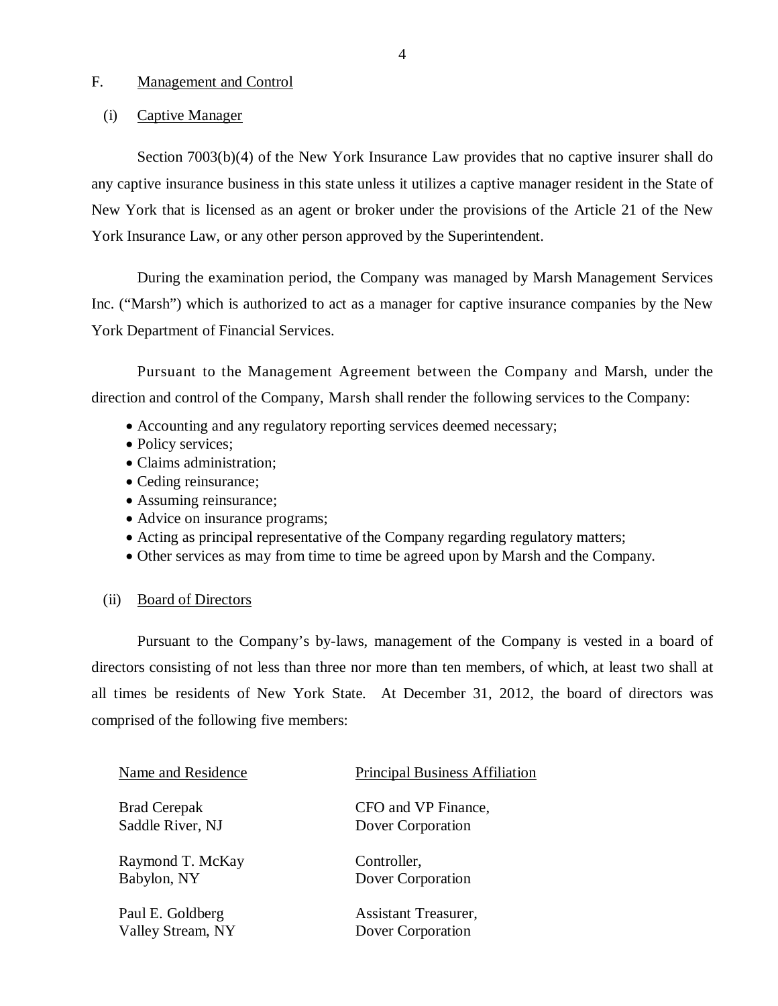## <span id="page-5-0"></span>F. Management and Control

#### (i) Captive Manager

Section 7003(b)(4) of the New York Insurance Law provides that no captive insurer shall do any captive insurance business in this state unless it utilizes a captive manager resident in the State of New York that is licensed as an agent or broker under the provisions of the Article 21 of the New York Insurance Law, or any other person approved by the Superintendent.

During the examination period, the Company was managed by Marsh Management Services Inc. ("Marsh") which is authorized to act as a manager for captive insurance companies by the New York Department of Financial Services.

Pursuant to the Management Agreement between the Company and Marsh, under the direction and control of the Company, Marsh shall render the following services to the Company:

- Accounting and any regulatory reporting services deemed necessary;
- Policy services;
- Claims administration;
- Ceding reinsurance;
- Assuming reinsurance;
- Advice on insurance programs;
- Acting as principal representative of the Company regarding regulatory matters;
- Other services as may from time to time be agreed upon by Marsh and the Company.

#### (ii) Board of Directors

Pursuant to the Company's by-laws, management of the Company is vested in a board of directors consisting of not less than three nor more than ten members, of which, at least two shall at all times be residents of New York State. At December 31, 2012, the board of directors was comprised of the following five members:

| Name and Residence  | <b>Principal Business Affiliation</b> |
|---------------------|---------------------------------------|
| <b>Brad Cerepak</b> | CFO and VP Finance,                   |
| Saddle River, NJ    | Dover Corporation                     |
| Raymond T. McKay    | Controller,                           |
| Babylon, NY         | Dover Corporation                     |
| Paul E. Goldberg    | Assistant Treasurer,                  |
| Valley Stream, NY   | Dover Corporation                     |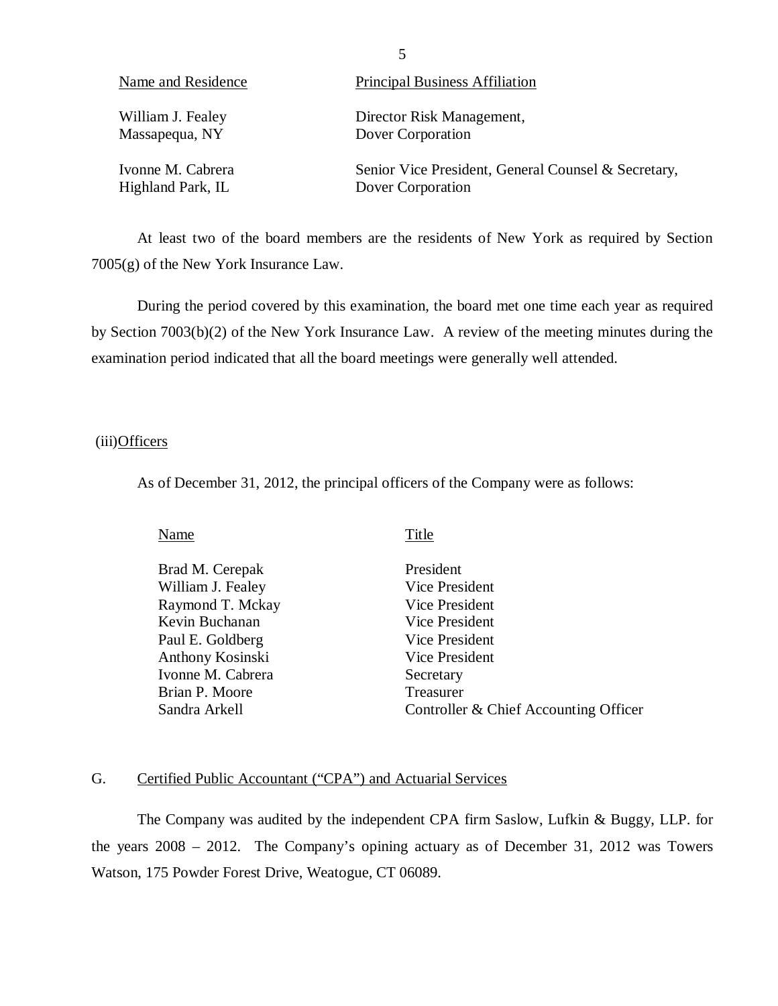| Name and Residence | <b>Principal Business Affiliation</b>               |
|--------------------|-----------------------------------------------------|
| William J. Fealey  | Director Risk Management,                           |
| Massapequa, NY     | Dover Corporation                                   |
| Ivonne M. Cabrera  | Senior Vice President, General Counsel & Secretary, |
| Highland Park, IL  | Dover Corporation                                   |

At least two of the board members are the residents of New York as required by Section 7005(g) of the New York Insurance Law.

During the period covered by this examination, the board met one time each year as required by Section 7003(b)(2) of the New York Insurance Law. A review of the meeting minutes during the examination period indicated that all the board meetings were generally well attended.

### (iii)Officers

As of December 31, 2012, the principal officers of the Company were as follows:

| Title                                 |
|---------------------------------------|
| President                             |
| Vice President                        |
| Vice President                        |
| Vice President                        |
| Vice President                        |
| Vice President                        |
| Secretary                             |
| Treasurer                             |
| Controller & Chief Accounting Officer |
|                                       |

## G. Certified Public Accountant ("CPA") and Actuarial Services

The Company was audited by the independent CPA firm Saslow, Lufkin & Buggy, LLP. for the years 2008 – 2012. The Company's opining actuary as of December 31, 2012 was Towers Watson, 175 Powder Forest Drive, Weatogue, CT 06089.

5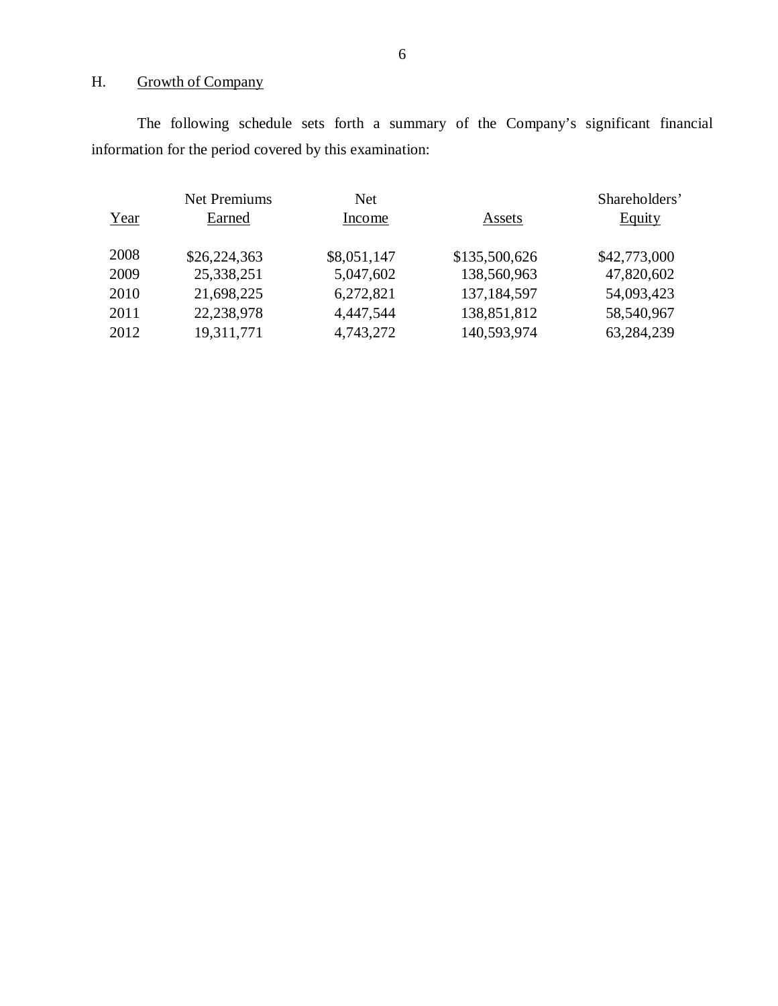## H. Growth of Company

The following schedule sets forth a summary of the Company's significant financial information for the period covered by this examination:

|      | <b>Net Premiums</b> | <b>Net</b>  |               | Shareholders' |
|------|---------------------|-------------|---------------|---------------|
| Year | Earned              | Income      | Assets        | <b>Equity</b> |
| 2008 | \$26,224,363        | \$8,051,147 | \$135,500,626 | \$42,773,000  |
| 2009 | 25,338,251          | 5,047,602   | 138,560,963   | 47,820,602    |
| 2010 | 21,698,225          | 6,272,821   | 137, 184, 597 | 54,093,423    |
| 2011 | 22,238,978          | 4,447,544   | 138,851,812   | 58,540,967    |
| 2012 | 19,311,771          | 4,743,272   | 140,593,974   | 63,284,239    |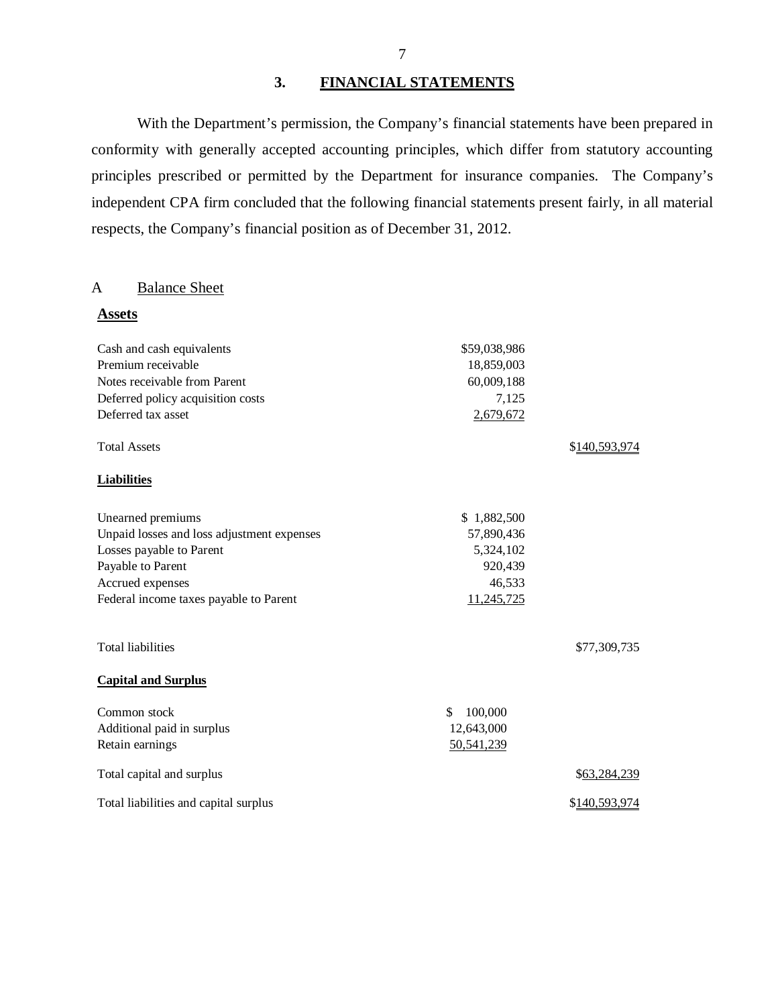## **3. FINANCIAL STATEMENTS**

With the Department's permission, the Company's financial statements have been prepared in conformity with generally accepted accounting principles, which differ from statutory accounting principles prescribed or permitted by the Department for insurance companies. The Company's independent CPA firm concluded that the following financial statements present fairly, in all material respects, the Company's financial position as of December 31, 2012.

### A Balance Sheet

| <b>Assets</b>                              |               |               |
|--------------------------------------------|---------------|---------------|
| Cash and cash equivalents                  | \$59,038,986  |               |
| Premium receivable                         | 18,859,003    |               |
| Notes receivable from Parent               | 60,009,188    |               |
| Deferred policy acquisition costs          | 7,125         |               |
| Deferred tax asset                         | 2,679,672     |               |
| <b>Total Assets</b>                        |               | \$140,593,974 |
| <b>Liabilities</b>                         |               |               |
| Unearned premiums                          | \$1,882,500   |               |
| Unpaid losses and loss adjustment expenses | 57,890,436    |               |
| Losses payable to Parent                   | 5,324,102     |               |
| Payable to Parent                          | 920,439       |               |
| Accrued expenses                           | 46,533        |               |
| Federal income taxes payable to Parent     | 11,245,725    |               |
| <b>Total liabilities</b>                   |               | \$77,309,735  |
| <b>Capital and Surplus</b>                 |               |               |
| Common stock                               | \$<br>100,000 |               |
| Additional paid in surplus                 | 12,643,000    |               |
| Retain earnings                            | 50,541,239    |               |
| Total capital and surplus                  |               | \$63,284,239  |
| Total liabilities and capital surplus      |               | \$140,593,974 |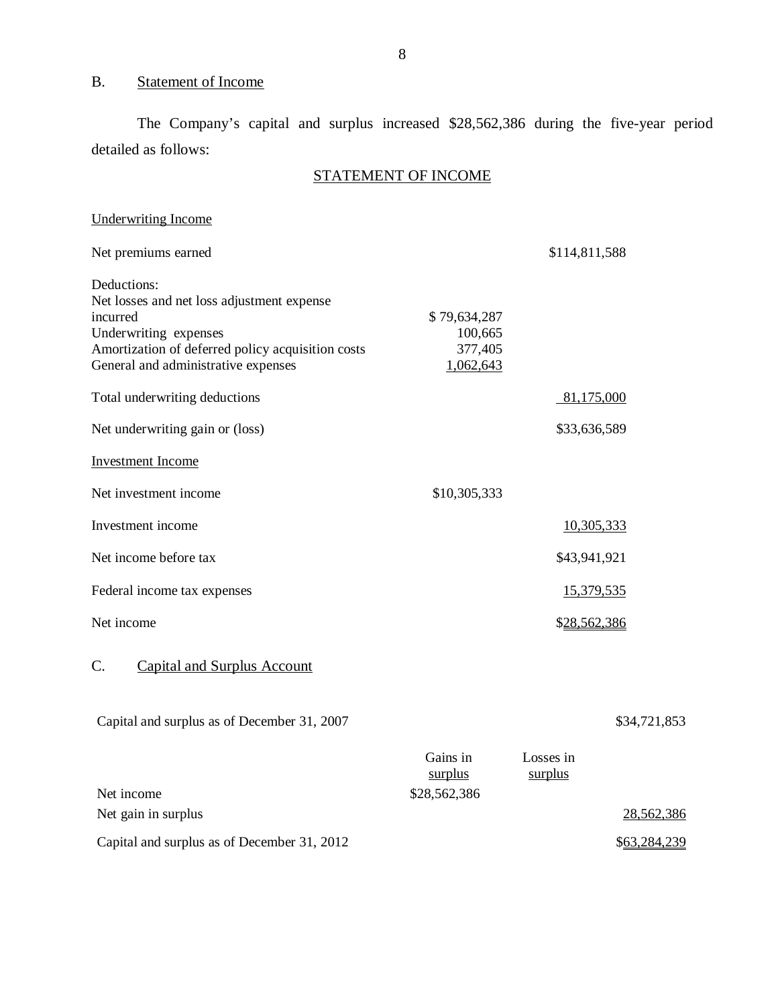## <span id="page-9-0"></span>B. Statement of Income

The Company's capital and surplus increased \$28,562,386 during the five-year period detailed as follows:

## STATEMENT OF INCOME

| <b>Underwriting Income</b>                                                                                                                                                                 |                                                 |                      |              |
|--------------------------------------------------------------------------------------------------------------------------------------------------------------------------------------------|-------------------------------------------------|----------------------|--------------|
| Net premiums earned                                                                                                                                                                        |                                                 | \$114,811,588        |              |
| Deductions:<br>Net losses and net loss adjustment expense<br>incurred<br>Underwriting expenses<br>Amortization of deferred policy acquisition costs<br>General and administrative expenses | \$79,634,287<br>100,665<br>377,405<br>1,062,643 |                      |              |
| Total underwriting deductions                                                                                                                                                              |                                                 | 81,175,000           |              |
| Net underwriting gain or (loss)                                                                                                                                                            |                                                 | \$33,636,589         |              |
| <b>Investment Income</b>                                                                                                                                                                   |                                                 |                      |              |
| Net investment income                                                                                                                                                                      | \$10,305,333                                    |                      |              |
| Investment income                                                                                                                                                                          |                                                 | 10,305,333           |              |
| Net income before tax                                                                                                                                                                      |                                                 | \$43,941,921         |              |
| Federal income tax expenses                                                                                                                                                                |                                                 | 15,379,535           |              |
| Net income                                                                                                                                                                                 |                                                 | \$28,562,386         |              |
| C.<br><b>Capital and Surplus Account</b>                                                                                                                                                   |                                                 |                      |              |
| Capital and surplus as of December 31, 2007                                                                                                                                                |                                                 |                      | \$34,721,853 |
|                                                                                                                                                                                            | Gains in<br>surplus                             | Losses in<br>surplus |              |
| Net income                                                                                                                                                                                 | \$28,562,386                                    |                      |              |
| Net gain in surplus                                                                                                                                                                        |                                                 |                      | 28,562,386   |

Capital and surplus as of December 31, 2012 \$63,284,239

8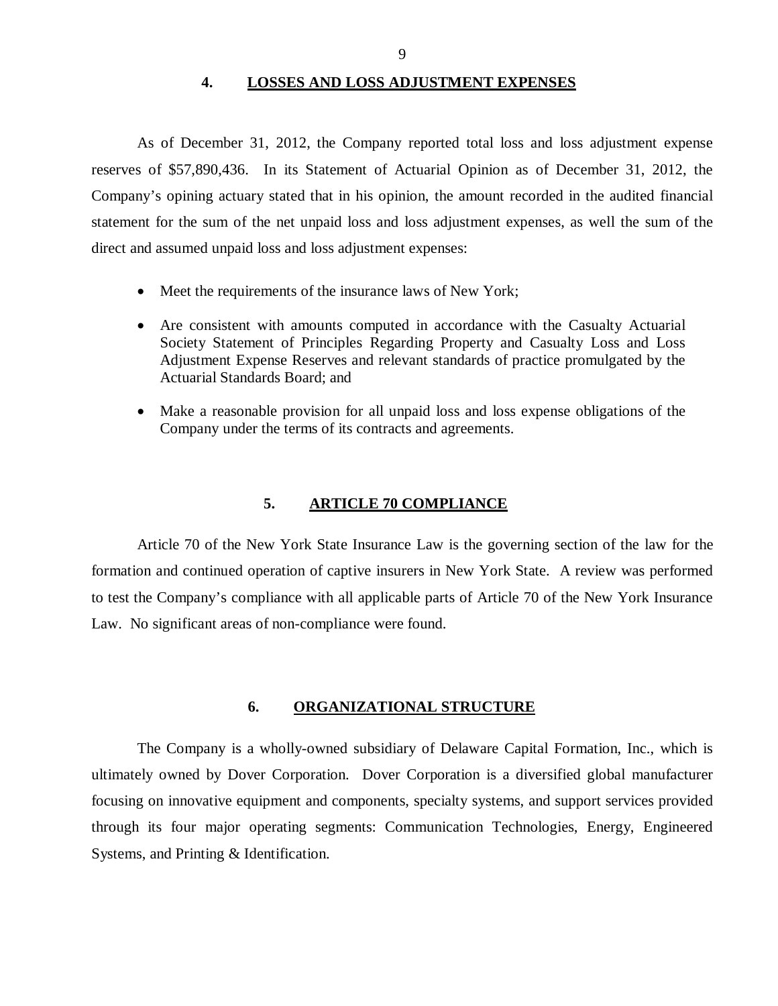**4. LOSSES AND LOSS ADJUSTMENT EXPENSES** 

<span id="page-10-0"></span>As of December 31, 2012, the Company reported total loss and loss adjustment expense reserves of \$57,890,436. In its Statement of Actuarial Opinion as of December 31, 2012, the Company's opining actuary stated that in his opinion, the amount recorded in the audited financial statement for the sum of the net unpaid loss and loss adjustment expenses, as well the sum of the direct and assumed unpaid loss and loss adjustment expenses:

- Meet the requirements of the insurance laws of New York;
- Are consistent with amounts computed in accordance with the Casualty Actuarial Society Statement of Principles Regarding Property and Casualty Loss and Loss Adjustment Expense Reserves and relevant standards of practice promulgated by the Actuarial Standards Board; and
- Make a reasonable provision for all unpaid loss and loss expense obligations of the Company under the terms of its contracts and agreements.

#### **5. ARTICLE 70 COMPLIANCE**

Article 70 of the New York State Insurance Law is the governing section of the law for the formation and continued operation of captive insurers in New York State. A review was performed to test the Company's compliance with all applicable parts of Article 70 of the New York Insurance Law. No significant areas of non-compliance were found.

#### **6. ORGANIZATIONAL STRUCTURE**

The Company is a wholly-owned subsidiary of Delaware Capital Formation, Inc., which is ultimately owned by Dover Corporation. Dover Corporation is a diversified global manufacturer focusing on innovative equipment and components, specialty systems, and support services provided through its four major operating segments: Communication Technologies, Energy, Engineered Systems, and Printing & Identification.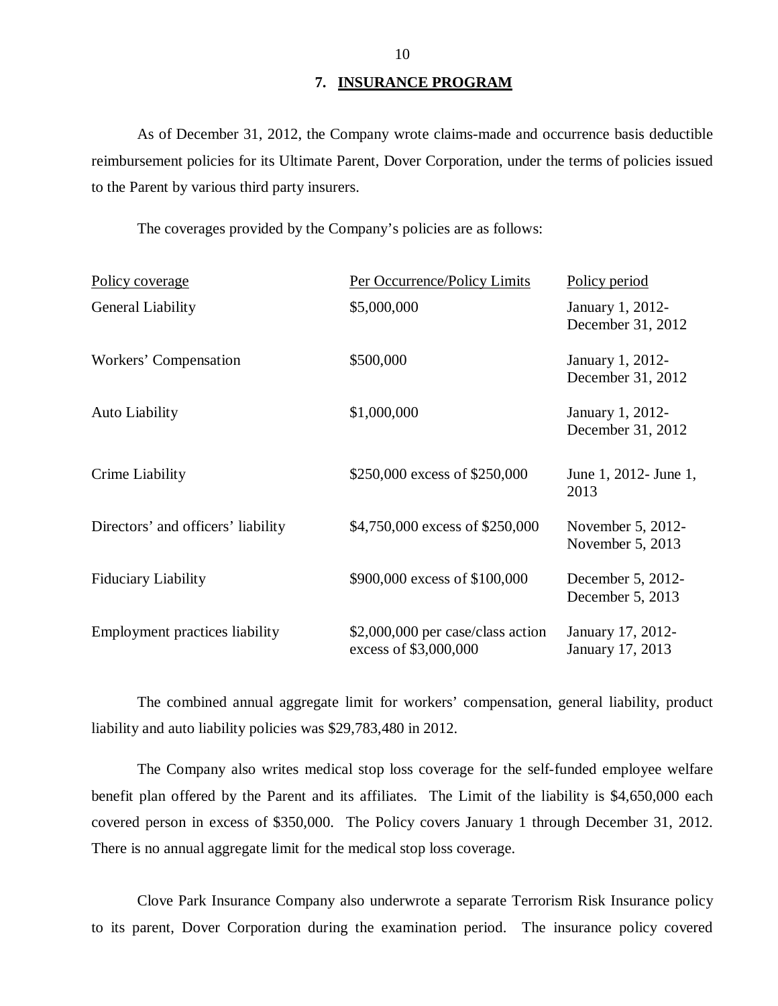#### **7. INSURANCE PROGRAM**

<span id="page-11-0"></span>As of December 31, 2012, the Company wrote claims-made and occurrence basis deductible reimbursement policies for its Ultimate Parent, Dover Corporation, under the terms of policies issued to the Parent by various third party insurers.

The coverages provided by the Company's policies are as follows:

| Policy coverage                    | Per Occurrence/Policy Limits                               | Policy period                         |
|------------------------------------|------------------------------------------------------------|---------------------------------------|
| General Liability                  | \$5,000,000                                                | January 1, 2012-<br>December 31, 2012 |
| Workers' Compensation              | \$500,000                                                  | January 1, 2012-<br>December 31, 2012 |
| Auto Liability                     | \$1,000,000                                                | January 1, 2012-<br>December 31, 2012 |
| Crime Liability                    | \$250,000 excess of \$250,000                              | June 1, 2012 - June 1,<br>2013        |
| Directors' and officers' liability | \$4,750,000 excess of \$250,000                            | November 5, 2012-<br>November 5, 2013 |
| <b>Fiduciary Liability</b>         | \$900,000 excess of \$100,000                              | December 5, 2012-<br>December 5, 2013 |
| Employment practices liability     | \$2,000,000 per case/class action<br>excess of \$3,000,000 | January 17, 2012-<br>January 17, 2013 |

The combined annual aggregate limit for workers' compensation, general liability, product liability and auto liability policies was \$29,783,480 in 2012.

The Company also writes medical stop loss coverage for the self-funded employee welfare benefit plan offered by the Parent and its affiliates. The Limit of the liability is \$4,650,000 each covered person in excess of \$350,000. The Policy covers January 1 through December 31, 2012. There is no annual aggregate limit for the medical stop loss coverage.

Clove Park Insurance Company also underwrote a separate Terrorism Risk Insurance policy to its parent, Dover Corporation during the examination period. The insurance policy covered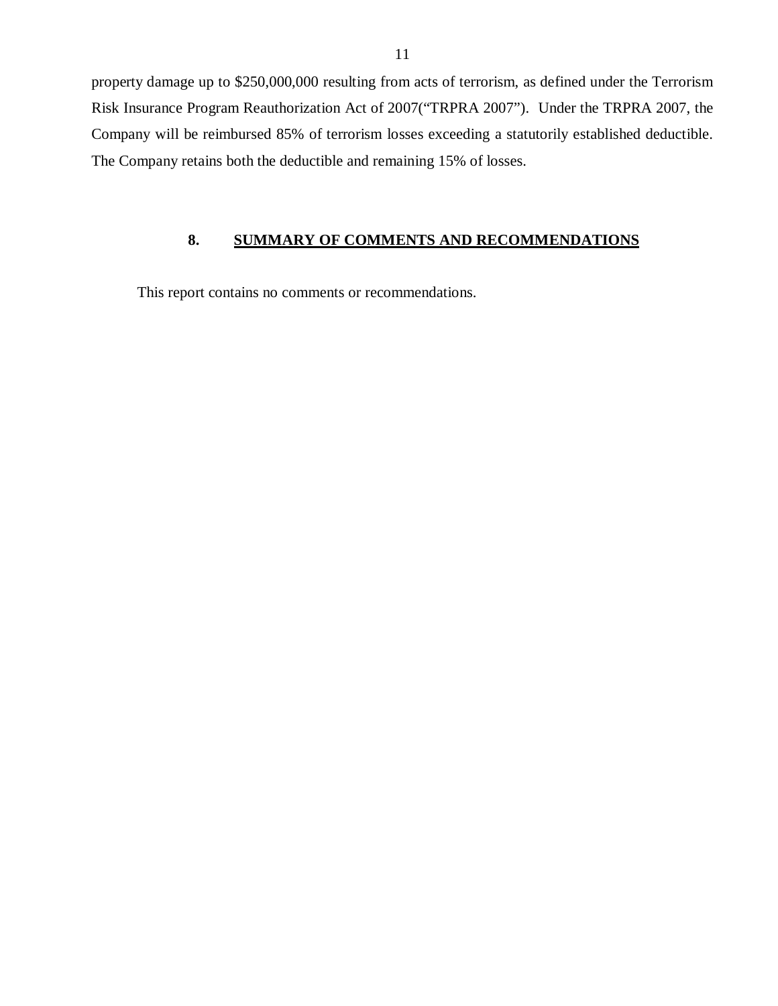<span id="page-12-0"></span>property damage up to \$250,000,000 resulting from acts of terrorism, as defined under the Terrorism Risk Insurance Program Reauthorization Act of 2007("TRPRA 2007"). Under the TRPRA 2007, the Company will be reimbursed 85% of terrorism losses exceeding a statutorily established deductible. The Company retains both the deductible and remaining 15% of losses.

## **8. SUMMARY OF COMMENTS AND RECOMMENDATIONS**

This report contains no comments or recommendations.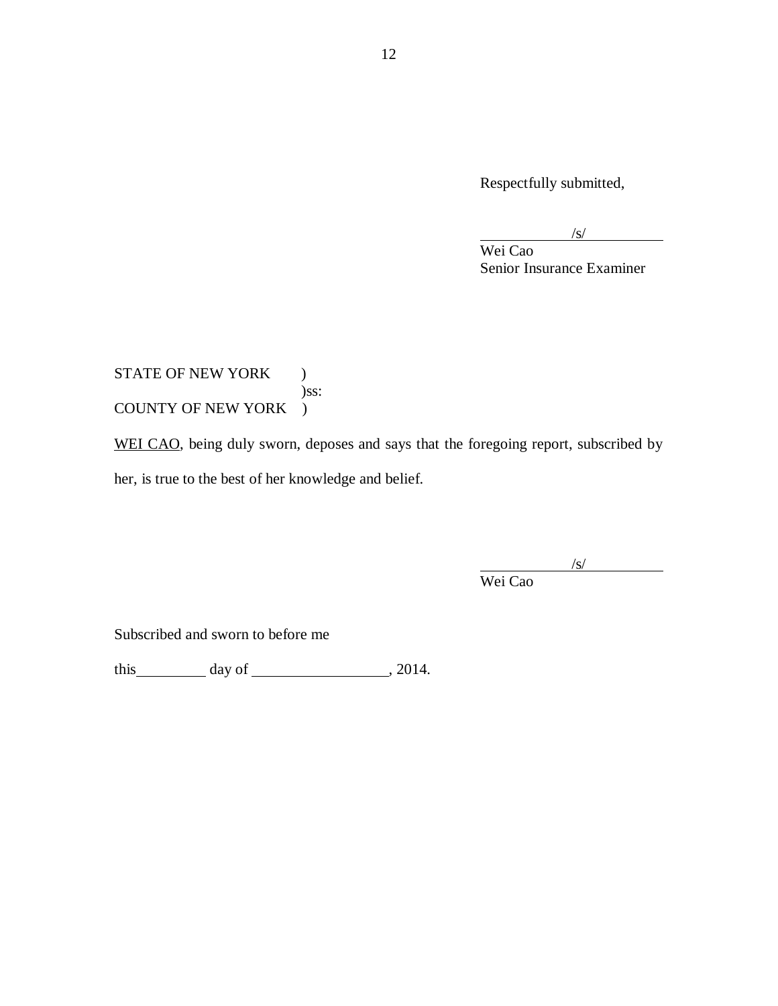Respectfully submitted,

 $\sqrt{s/2}$ 

Wei Cao Senior Insurance Examiner

STATE OF NEW YORK ) )ss: COUNTY OF NEW YORK )

WEI CAO, being duly sworn, deposes and says that the foregoing report, subscribed by her, is true to the best of her knowledge and belief.

/s/

Wei Cao

Subscribed and sworn to before me

this day of , 2014.